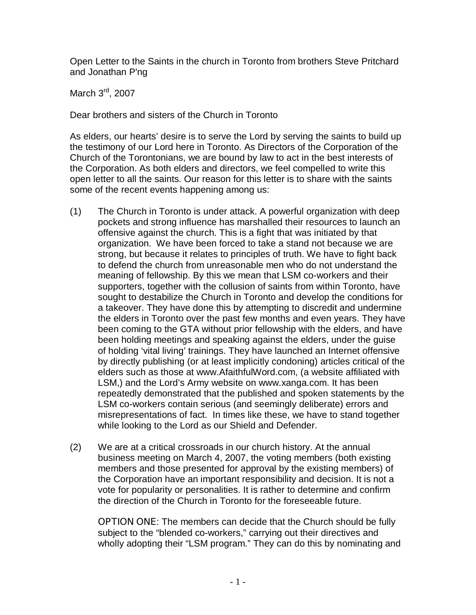Open Letter to the Saints in the church in Toronto from brothers Steve Pritchard and Jonathan P'ng

March 3rd, 2007

Dear brothers and sisters of the Church in Toronto

As elders, our hearts' desire is to serve the Lord by serving the saints to build up the testimony of our Lord here in Toronto. As Directors of the Corporation of the Church of the Torontonians, we are bound by law to act in the best interests of the Corporation. As both elders and directors, we feel compelled to write this open letter to all the saints. Our reason for this letter is to share with the saints some of the recent events happening among us:

- (1) The Church in Toronto is under attack. A powerful organization with deep pockets and strong influence has marshalled their resources to launch an offensive against the church. This is a fight that was initiated by that organization. We have been forced to take a stand not because we are strong, but because it relates to principles of truth. We have to fight back to defend the church from unreasonable men who do not understand the meaning of fellowship. By this we mean that LSM co-workers and their supporters, together with the collusion of saints from within Toronto, have sought to destabilize the Church in Toronto and develop the conditions for a takeover. They have done this by attempting to discredit and undermine the elders in Toronto over the past few months and even years. They have been coming to the GTA without prior fellowship with the elders, and have been holding meetings and speaking against the elders, under the guise of holding 'vital living' trainings. They have launched an Internet offensive by directly publishing (or at least implicitly condoning) articles critical of the elders such as those at www.AfaithfulWord.com, (a website affiliated with LSM,) and the Lord's Army website on www.xanga.com. It has been repeatedly demonstrated that the published and spoken statements by the LSM co-workers contain serious (and seemingly deliberate) errors and misrepresentations of fact. In times like these, we have to stand together while looking to the Lord as our Shield and Defender.
- (2) We are at a critical crossroads in our church history. At the annual business meeting on March 4, 2007, the voting members (both existing members and those presented for approval by the existing members) of the Corporation have an important responsibility and decision. It is not a vote for popularity or personalities. It is rather to determine and confirm the direction of the Church in Toronto for the foreseeable future.

**OPTION ONE**: The members can decide that the Church should be fully subject to the "blended co-workers," carrying out their directives and wholly adopting their "LSM program." They can do this by nominating and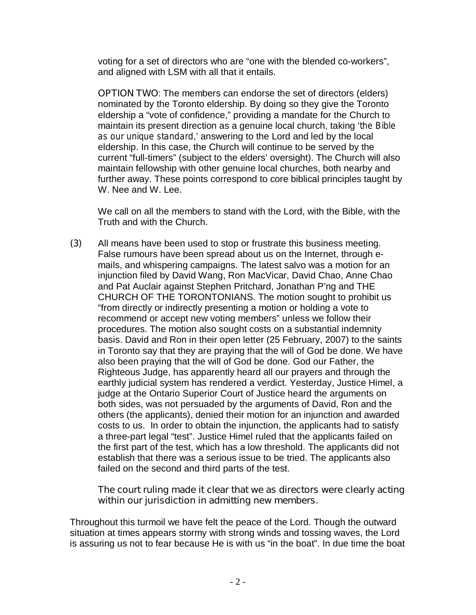voting for a set of directors who are "one with the blended co-workers", and aligned with LSM with all that it entails.

**OPTION TWO**: The members can endorse the set of directors (elders) nominated by the Toronto eldership. By doing so they give the Toronto eldership a "vote of confidence," providing a mandate for the Church to maintain its present direction as a genuine local church, taking '*the Bible as our unique standard*,' answering to the Lord and led by the local eldership. In this case, the Church will continue to be served by the current "full-timers" (subject to the elders' oversight). The Church will also maintain fellowship with other genuine local churches, both nearby and further away. These points correspond to core biblical principles taught by W. Nee and W. Lee.

We call on all the members to stand with the Lord, with the Bible, with the Truth and with the Church.

**(3)** All means have been used to stop or frustrate this business meeting. False rumours have been spread about us on the Internet, through emails, and whispering campaigns. The latest salvo was a motion for an injunction filed by David Wang, Ron MacVicar, David Chao, Anne Chao and Pat Auclair against Stephen Pritchard, Jonathan P'ng and THE CHURCH OF THE TORONTONIANS. The motion sought to prohibit us "from directly or indirectly presenting a motion or holding a vote to recommend or accept new voting members" unless we follow their procedures. The motion also sought costs on a substantial indemnity basis. David and Ron in their open letter (25 February, 2007) to the saints in Toronto say that they are praying that the will of God be done. We have also been praying that the will of God be done. God our Father, the Righteous Judge, has apparently heard all our prayers and through the earthly judicial system has rendered a verdict. Yesterday, Justice Himel, a judge at the Ontario Superior Court of Justice heard the arguments on both sides, was not persuaded by the arguments of David, Ron and the others (the applicants), denied their motion for an injunction and awarded costs to us. In order to obtain the injunction, the applicants had to satisfy a three-part legal "test". Justice Himel ruled that the applicants failed on the first part of the test, which has a low threshold. The applicants did not establish that there was a serious issue to be tried. The applicants also failed on the second and third parts of the test.

## **The court ruling made it clear that we as directors were clearly acting within our jurisdiction in admitting new members.**

Throughout this turmoil we have felt the peace of the Lord. Though the outward situation at times appears stormy with strong winds and tossing waves, the Lord is assuring us not to fear because He is with us "in the boat". In due time the boat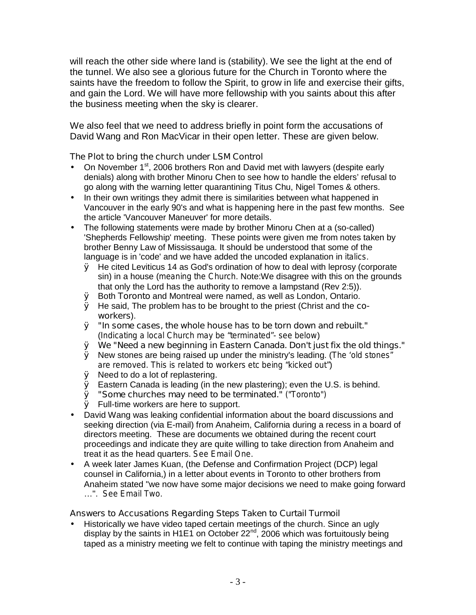will reach the other side where land is (stability). We see the light at the end of the tunnel. We also see a glorious future for the Church in Toronto where the saints have the freedom to follow the Spirit, to grow in life and exercise their gifts, and gain the Lord. We will have more fellowship with you saints about this after the business meeting when the sky is clearer.

We also feel that we need to address briefly in point form the accusations of David Wang and Ron MacVicar in their open letter. These are given below.

## **The Plot to bring the church under LSM Control**

- On November  $1<sup>st</sup>$ , 2006 brothers Ron and David met with lawyers (despite early denials) along with brother Minoru Chen to see how to handle the elders' refusal to go along with the warning letter quarantining Titus Chu, Nigel Tomes & others.
- In their own writings they admit there is similarities between what happened in Vancouver in the early 90's and what is happening here in the past few months. See the article 'Vancouver Maneuver' for more details.
- The following statements were made by brother Minoru Chen at a (so-called) 'Shepherds Fellowship' meeting. These points were given me from notes taken by brother Benny Law of Mississauga. It should be understood that some of the language is in 'code' and we have added the uncoded explanation in *italics*.
	- Ø He cited Leviticus 14 as God's ordination of how to deal with leprosy (corporate sin) in a house (*meaning the Church*. Note:We disagree with this on the grounds that only the Lord has the authority to remove a lampstand (Rev 2:5)).
	- Ø Both **Toronto** and Montreal were named, as well as London, Ontario.
	- Ø He said, The problem has to be brought to the priest (Christ and the **coworkers**).
	- Ø **"In some cases, the whole house has to be torn down and rebuilt."** (*Indicating a local Church may be "terminated"- see below*)
	- Ø **We "Need a new beginning in Eastern Canada. Don't just fix the old things."**
	- Ø New stones are being raised up under the ministry's leading. (*The 'old stones" are removed. This is related to workers etc being "kicked out"*)
	- Ø Need to do a lot of replastering.
	- $\emptyset$  Eastern Canada is leading (in the new plastering); even the U.S. is behind.
	- Ø **"Some churches may need to be terminated."** *("Toronto")*
	- Ø Full-time workers are here to support.
- David Wang was leaking confidential information about the board discussions and seeking direction (via E-mail) from Anaheim, California during a recess in a board of directors meeting. These are documents we obtained during the recent court proceedings and indicate they are quite willing to take direction from Anaheim and treat it as the head quarters. *See Email One*.
- A week later James Kuan, (the Defense and Confirmation Project (DCP) legal counsel in California,) in a letter about events in Toronto to other brothers from Anaheim stated "we now have some major decisions we need to make going forward …". *See Email Two*.

## **Answers to Accusations Regarding Steps Taken to Curtail Turmoil**

• Historically we have video taped certain meetings of the church. Since an ugly display by the saints in H1E1 on October 22<sup>nd</sup>, 2006 which was fortuitously being taped as a ministry meeting we felt to continue with taping the ministry meetings and